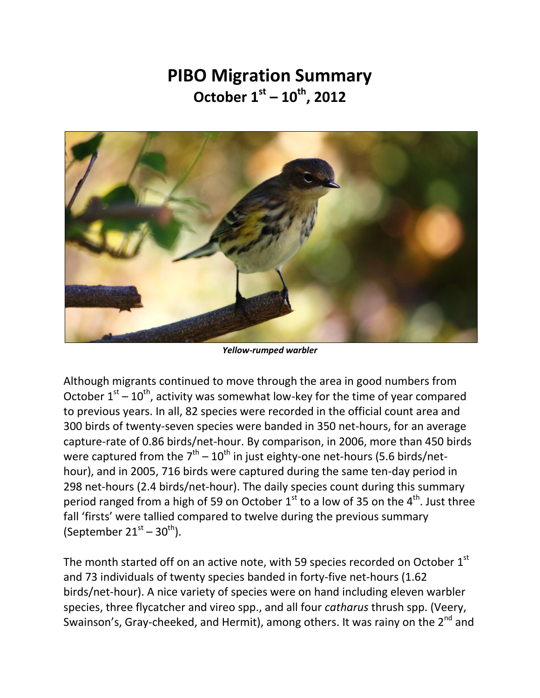## **PIBO Migration Summary October 1st – 10th, 2012**



*Yellow-rumped warbler* 

Although migrants continued to move through the area in good numbers from October  $1<sup>st</sup> - 10<sup>th</sup>$ , activity was somewhat low-key for the time of year compared to previous years. In all, 82 species were recorded in the official count area and 300 birds of twenty-seven species were banded in 350 net-hours, for an average capture-rate of 0.86 birds/net-hour. By comparison, in 2006, more than 450 birds were captured from the  $7^{\text{th}}$  –  $10^{\text{th}}$  in just eighty-one net-hours (5.6 birds/nethour), and in 2005, 716 birds were captured during the same ten-day period in 298 net-hours (2.4 birds/net-hour). The daily species count during this summary period ranged from a high of 59 on October  $1<sup>st</sup>$  to a low of 35 on the  $4<sup>th</sup>$ . Just three fall 'firsts' were tallied compared to twelve during the previous summary (September  $21^{\text{st}} - 30^{\text{th}}$ ).

The month started off on an active note, with 59 species recorded on October 1st and 73 individuals of twenty species banded in forty-five net-hours (1.62 birds/net-hour). A nice variety of species were on hand including eleven warbler species, three flycatcher and vireo spp., and all four *catharus* thrush spp. (Veery, Swainson's, Gray-cheeked, and Hermit), among others. It was rainy on the  $2^{nd}$  and